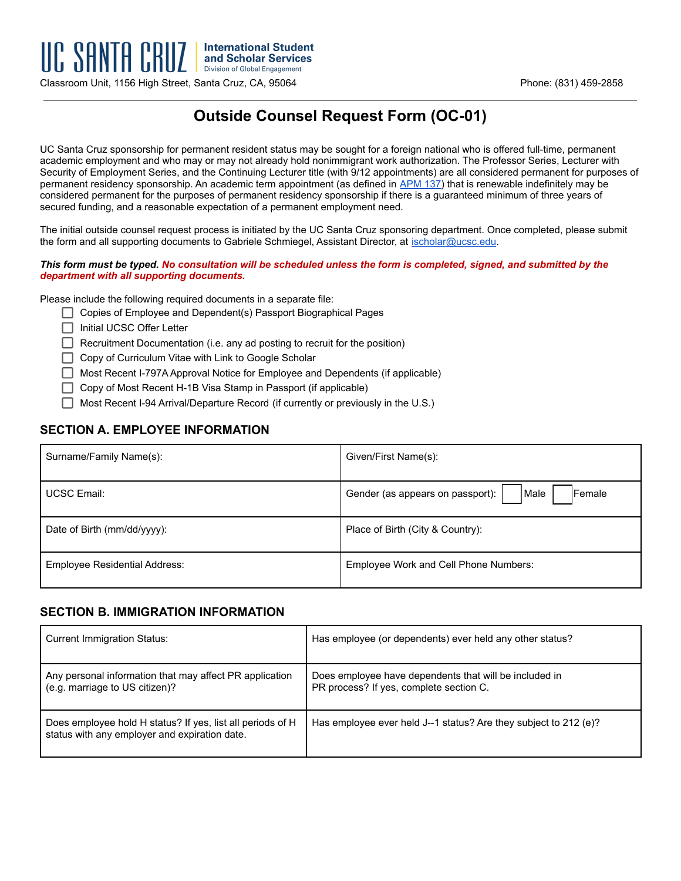Classroom Unit, 1156 High Street, Santa Cruz, CA, 95064 Phone: (831) 459-2858

# **Outside Counsel Request Form (OC-01)**

UC Santa Cruz sponsorship for permanent resident status may be sought for a foreign national who is offered full-time, permanent academic employment and who may or may not already hold nonimmigrant work authorization. The Professor Series, Lecturer with Security of Employment Series, and the Continuing Lecturer title (with 9/12 appointments) are all considered permanent for purposes of permanent residency sponsorship. An academic term appointment (as defined in [APM 137\)](https://ucop.edu/academic-personnel-programs/_files/apm/apm-137.pdf) that is renewable indefinitely may be considered permanent for the purposes of permanent residency sponsorship if there is a guaranteed minimum of three years of secured funding, and a reasonable expectation of a permanent employment need.

The initial outside counsel request process is initiated by the UC Santa Cruz sponsoring department. Once completed, please submit the form and all supporting documents to Gabriele Schmiegel, Assistant Director, at [ischolar@ucsc.edu](mailto:ischolar@ucsc.edu).

#### *This form must be typed. No consultation will be scheduled unless the form is completed, signed, and submitted by the department with all supporting documents.*

Please include the following required documents in a separate file:

- Copies of Employee and Dependent(s) Passport Biographical Pages
- □ Initial UCSC Offer Letter
- $\Box$  Recruitment Documentation (i.e. any ad posting to recruit for the position)
- $\Box$  Copy of Curriculum Vitae with Link to Google Scholar
- □ Most Recent I-797A Approval Notice for Employee and Dependents (if applicable)
- $\Box$  Copy of Most Recent H-1B Visa Stamp in Passport (if applicable)
- $\Box$  Most Recent I-94 Arrival/Departure Record (if currently or previously in the U.S.)

## **SECTION A. EMPLOYEE INFORMATION**

| Surname/Family Name(s):              | Given/First Name(s):                                       |
|--------------------------------------|------------------------------------------------------------|
| <b>UCSC Email:</b>                   | Male<br><b>IFemale</b><br>Gender (as appears on passport): |
| Date of Birth (mm/dd/yyyy):          | Place of Birth (City & Country):                           |
| <b>Employee Residential Address:</b> | Employee Work and Cell Phone Numbers:                      |

#### **SECTION B. IMMIGRATION INFORMATION**

| <b>Current Immigration Status:</b>                                                                          | Has employee (or dependents) ever held any other status?                                          |
|-------------------------------------------------------------------------------------------------------------|---------------------------------------------------------------------------------------------------|
| Any personal information that may affect PR application<br>(e.g. marriage to US citizen)?                   | Does employee have dependents that will be included in<br>PR process? If yes, complete section C. |
| Does employee hold H status? If yes, list all periods of H<br>status with any employer and expiration date. | Has employee ever held J--1 status? Are they subject to 212 (e)?                                  |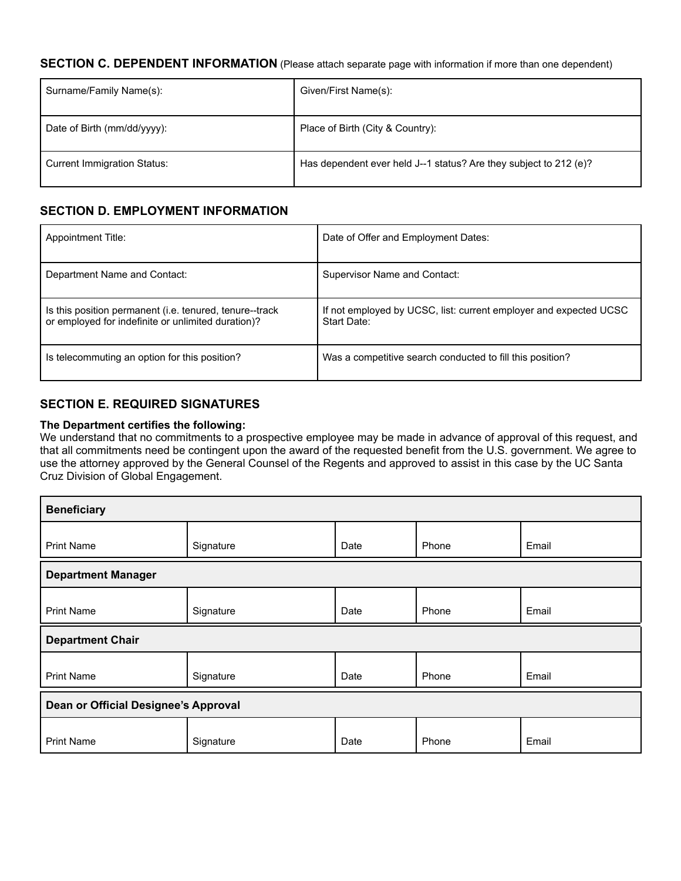## **SECTION C. DEPENDENT INFORMATION** (Please attach separate page with information if more than one dependent)

| Surname/Family Name(s):            | Given/First Name(s):                                              |
|------------------------------------|-------------------------------------------------------------------|
| Date of Birth (mm/dd/yyyy):        | Place of Birth (City & Country):                                  |
| <b>Current Immigration Status:</b> | Has dependent ever held J--1 status? Are they subject to 212 (e)? |

## **SECTION D. EMPLOYMENT INFORMATION**

| <b>Appointment Title:</b>                                                                                     | Date of Offer and Employment Dates:                                              |
|---------------------------------------------------------------------------------------------------------------|----------------------------------------------------------------------------------|
| Department Name and Contact:                                                                                  | Supervisor Name and Contact:                                                     |
| Is this position permanent (i.e. tenured, tenure--track<br>or employed for indefinite or unlimited duration)? | If not employed by UCSC, list: current employer and expected UCSC<br>Start Date: |
| Is telecommuting an option for this position?                                                                 | Was a competitive search conducted to fill this position?                        |

## **SECTION E. REQUIRED SIGNATURES**

#### **The Department certifies the following:**

We understand that no commitments to a prospective employee may be made in advance of approval of this request, and that all commitments need be contingent upon the award of the requested benefit from the U.S. government. We agree to use the attorney approved by the General Counsel of the Regents and approved to assist in this case by the UC Santa Cruz Division of Global Engagement.

| <b>Beneficiary</b>                   |           |      |       |       |  |
|--------------------------------------|-----------|------|-------|-------|--|
| <b>Print Name</b>                    | Signature | Date | Phone | Email |  |
| <b>Department Manager</b>            |           |      |       |       |  |
| <b>Print Name</b>                    | Signature | Date | Phone | Email |  |
| <b>Department Chair</b>              |           |      |       |       |  |
| <b>Print Name</b>                    | Signature | Date | Phone | Email |  |
| Dean or Official Designee's Approval |           |      |       |       |  |
| <b>Print Name</b>                    | Signature | Date | Phone | Email |  |